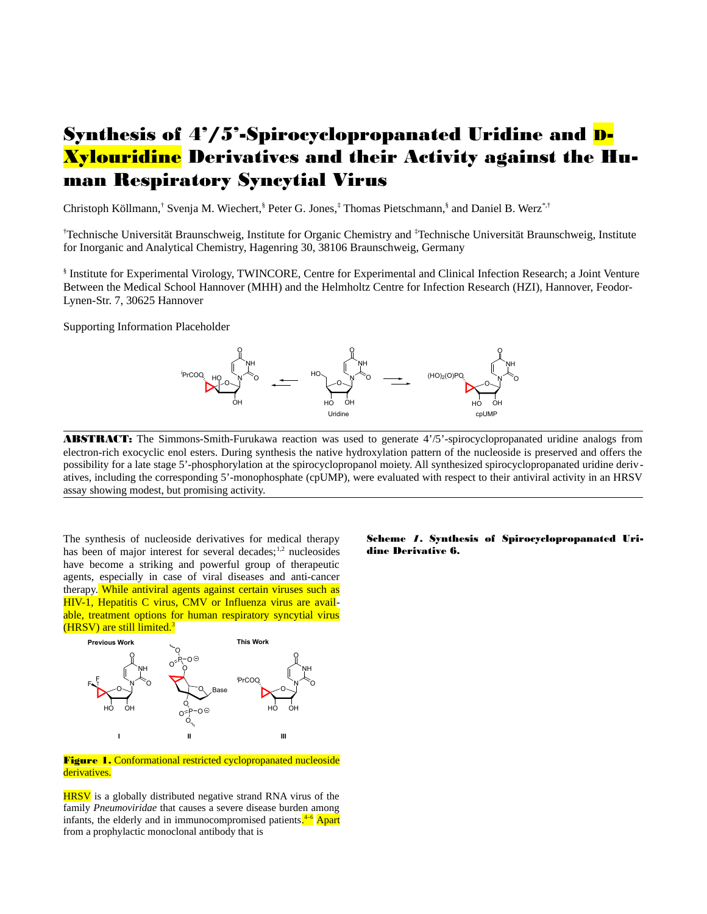# Synthesis of 4'/5'-Spirocyclopropanated Uridine and D-Xylouridine Derivatives and their Activity against the Human Respiratory Syncytial Virus

Christoph Köllmann,† Svenja M. Wiechert,§ Peter G. Jones,‡ Thomas Pietschmann,§ and Daniel B. Werz\*<sup>,†</sup>

†Technische Universität Braunschweig, Institute for Organic Chemistry and ‡Technische Universität Braunschweig, Institute for Inorganic and Analytical Chemistry, Hagenring 30, 38106 Braunschweig, Germany

§ Institute for Experimental Virology, TWINCORE, Centre for Experimental and Clinical Infection Research; a Joint Venture Between the Medical School Hannover (MHH) and the Helmholtz Centre for Infection Research (HZI), Hannover, Feodor-Lynen-Str. 7, 30625 Hannover

Supporting Information Placeholder



**ABSTRACT:** The Simmons-Smith-Furukawa reaction was used to generate 4'/5'-spirocyclopropanated uridine analogs from electron-rich exocyclic enol esters. During synthesis the native hydroxylation pattern of the nucleoside is preserved and offers the possibility for a late stage 5'-phosphorylation at the spirocyclopropanol moiety. All synthesized spirocyclopropanated uridine derivatives, including the corresponding 5'-monophosphate (cpUMP), were evaluated with respect to their antiviral activity in an HRSV assay showing modest, but promising activity.

The synthesis of nucleoside derivatives for medical therapy has been of major interest for several decades; $1,2$  nucleosides have become a striking and powerful group of therapeutic agents, especially in case of viral diseases and anti-cancer therapy. While antiviral agents against certain viruses such as HIV-1, Hepatitis C virus, CMV or Influenza virus are available, treatment options for human respiratory syncytial virus (HRSV) are still limited.<sup>3</sup>



Figure 1. Conformational restricted cyclopropanated nucleoside derivatives.

HRSV is a globally distributed negative strand RNA virus of the family *Pneumoviridae* that causes a severe disease burden among infants, the elderly and in immunocompromised patients.<sup>4-6</sup> Apart from a prophylactic monoclonal antibody that is

#### Scheme *1*. Synthesis of Spirocyclopropanated Uridine Derivative 6.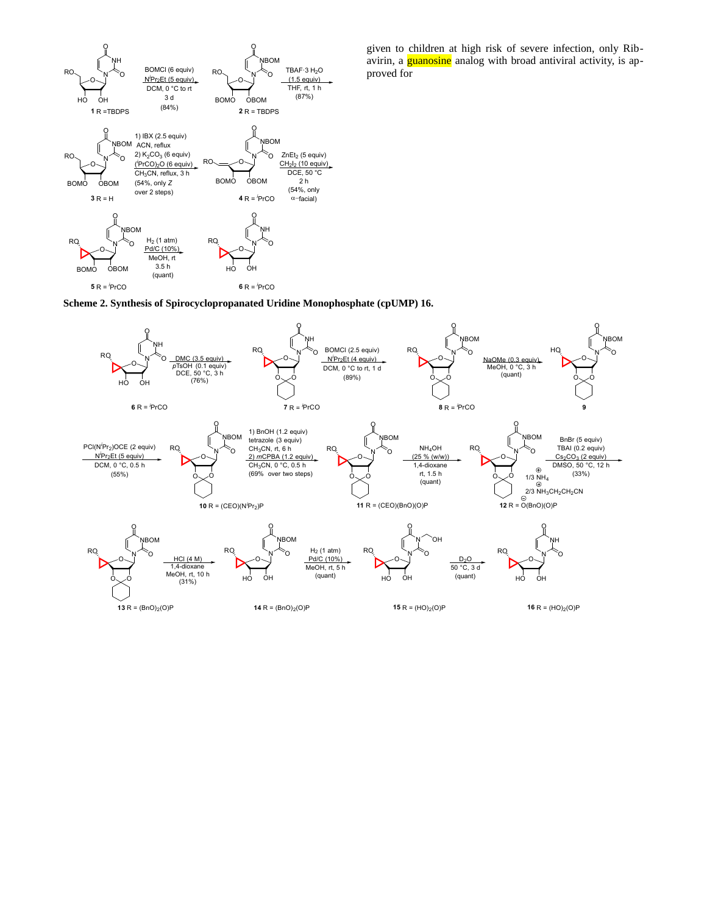

given to children at high risk of severe infection, only Ribavirin, a **guanosine** analog with broad antiviral activity, is approved for

**Scheme 2. Synthesis of Spirocyclopropanated Uridine Monophosphate (cpUMP) 16.**

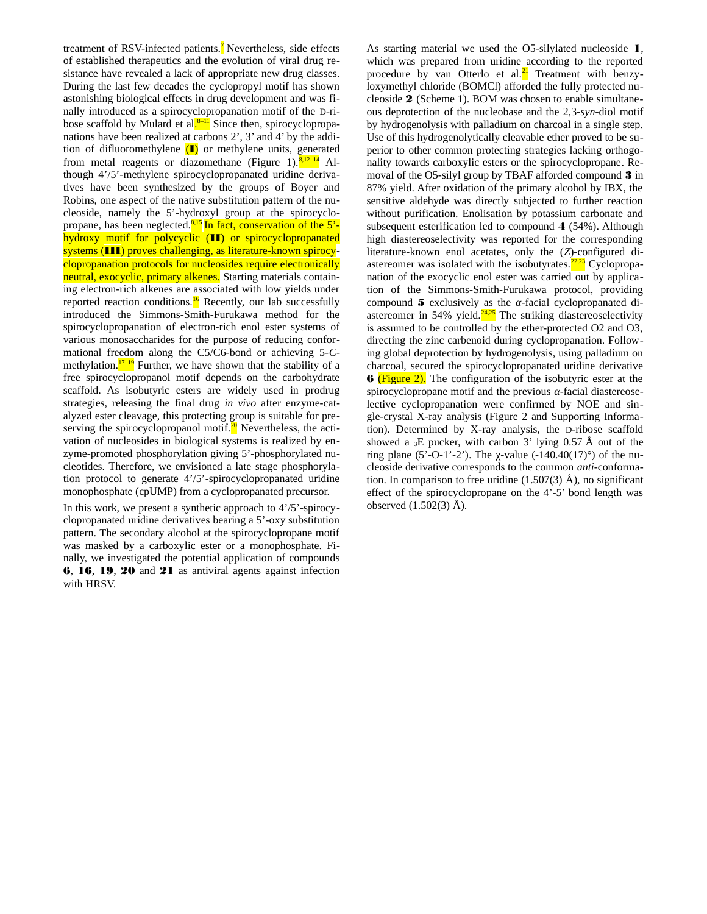treatment of RSV-infected patients.<sup>7</sup> Nevertheless, side effects of established therapeutics and the evolution of viral drug resistance have revealed a lack of appropriate new drug classes. During the last few decades the cyclopropyl motif has shown astonishing biological effects in drug development and was finally introduced as a spirocyclopropanation motif of the D-ribose scaffold by Mulard et al.<sup>8–11</sup> Since then, spirocyclopropanations have been realized at carbons 2', 3' and 4' by the addition of difluoromethylene  $(I)$  or methylene units, generated from metal reagents or diazomethane (Figure 1). $\frac{8,12-14}{ }$  Although 4'/5'-methylene spirocyclopropanated uridine derivatives have been synthesized by the groups of Boyer and Robins, one aspect of the native substitution pattern of the nucleoside, namely the 5'-hydroxyl group at the spirocyclopropane, has been neglected.8,15 In fact, conservation of the 5' hydroxy motif for polycyclic (II) or spirocyclopropanated systems (III) proves challenging, as literature-known spirocyclopropanation protocols for nucleosides require electronically neutral, exocyclic, primary alkenes. Starting materials containing electron-rich alkenes are associated with low yields under reported reaction conditions.<sup>16</sup> Recently, our lab successfully introduced the Simmons-Smith-Furukawa method for the spirocyclopropanation of electron-rich enol ester systems of various monosaccharides for the purpose of reducing conformational freedom along the C5/C6-bond or achieving 5-*C*methylation. $17-19$  Further, we have shown that the stability of a free spirocyclopropanol motif depends on the carbohydrate scaffold. As isobutyric esters are widely used in prodrug strategies, releasing the final drug *in vivo* after enzyme-catalyzed ester cleavage, this protecting group is suitable for preserving the spirocyclopropanol motif. $^{20}$  Nevertheless, the activation of nucleosides in biological systems is realized by enzyme-promoted phosphorylation giving 5'-phosphorylated nucleotides. Therefore, we envisioned a late stage phosphorylation protocol to generate 4'/5'-spirocyclopropanated uridine monophosphate (cpUMP) from a cyclopropanated precursor.

In this work, we present a synthetic approach to 4'/5'-spirocyclopropanated uridine derivatives bearing a 5'-oxy substitution pattern. The secondary alcohol at the spirocyclopropane motif was masked by a carboxylic ester or a monophosphate. Finally, we investigated the potential application of compounds 6, 16, 19, 20 and 21 as antiviral agents against infection with HRSV.

As starting material we used the O5-silylated nucleoside 1, which was prepared from uridine according to the reported procedure by van Otterlo et al.<sup>21</sup> Treatment with benzyloxymethyl chloride (BOMCl) afforded the fully protected nucleoside 2 (Scheme 1). BOM was chosen to enable simultaneous deprotection of the nucleobase and the 2,3-*syn*-diol motif by hydrogenolysis with palladium on charcoal in a single step. Use of this hydrogenolytically cleavable ether proved to be superior to other common protecting strategies lacking orthogonality towards carboxylic esters or the spirocyclopropane. Removal of the O5-silyl group by TBAF afforded compound 3 in 87% yield. After oxidation of the primary alcohol by IBX, the sensitive aldehyde was directly subjected to further reaction without purification. Enolisation by potassium carbonate and subsequent esterification led to compound 4 (54%). Although high diastereoselectivity was reported for the corresponding literature-known enol acetates, only the (*Z*)-configured diastereomer was isolated with the isobutyrates. $\frac{22,23}{2}$  Cyclopropanation of the exocyclic enol ester was carried out by application of the Simmons-Smith-Furukawa protocol, providing compound 5 exclusively as the *α*-facial cyclopropanated diastereomer in 54% yield. $24.25$  The striking diastereoselectivity is assumed to be controlled by the ether-protected O2 and O3, directing the zinc carbenoid during cyclopropanation. Following global deprotection by hydrogenolysis, using palladium on charcoal, secured the spirocyclopropanated uridine derivative **6** (Figure 2). The configuration of the isobutyric ester at the spirocyclopropane motif and the previous *α*-facial diastereoselective cyclopropanation were confirmed by NOE and single-crystal X-ray analysis (Figure 2 and Supporting Information). Determined by X-ray analysis, the D-ribose scaffold showed a  ${}_{3}E$  pucker, with carbon 3' lying 0.57 Å out of the ring plane (5'-O-1'-2'). The *χ*-value  $(-140.40(17)°)$  of the nucleoside derivative corresponds to the common *anti*-conformation. In comparison to free uridine  $(1.507(3)$  Å), no significant effect of the spirocyclopropane on the 4'-5' bond length was observed (1.502(3) Å).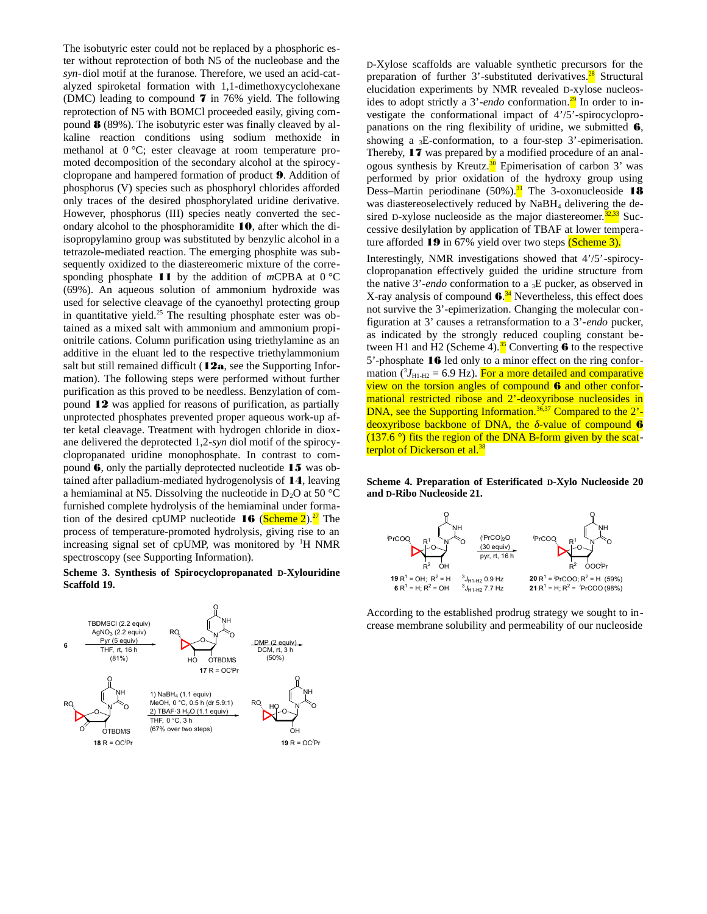The isobutyric ester could not be replaced by a phosphoric ester without reprotection of both N5 of the nucleobase and the *syn-*diol motif at the furanose. Therefore, we used an acid-catalyzed spiroketal formation with 1,1-dimethoxycyclohexane (DMC) leading to compound  $7$  in 76% yield. The following reprotection of N5 with BOMCl proceeded easily, giving compound  $\boldsymbol{8}$  (89%). The isobutyric ester was finally cleaved by alkaline reaction conditions using sodium methoxide in methanol at 0 °C; ester cleavage at room temperature promoted decomposition of the secondary alcohol at the spirocyclopropane and hampered formation of product 9. Addition of phosphorus (V) species such as phosphoryl chlorides afforded only traces of the desired phosphorylated uridine derivative. However, phosphorus (III) species neatly converted the secondary alcohol to the phosphoramidite 10, after which the diisopropylamino group was substituted by benzylic alcohol in a tetrazole-mediated reaction. The emerging phosphite was subsequently oxidized to the diastereomeric mixture of the corresponding phosphate 11 by the addition of *m*CPBA at 0 °C (69%). An aqueous solution of ammonium hydroxide was used for selective cleavage of the cyanoethyl protecting group in quantitative yield. $^{25}$  The resulting phosphate ester was obtained as a mixed salt with ammonium and ammonium propionitrile cations. Column purification using triethylamine as an additive in the eluant led to the respective triethylammonium salt but still remained difficult  $(12a)$ , see the Supporting Information). The following steps were performed without further purification as this proved to be needless. Benzylation of compound 12 was applied for reasons of purification, as partially unprotected phosphates prevented proper aqueous work-up after ketal cleavage. Treatment with hydrogen chloride in dioxane delivered the deprotected 1,2-*syn* diol motif of the spirocyclopropanated uridine monophosphate. In contrast to compound 6, only the partially deprotected nucleotide 15 was obtained after palladium-mediated hydrogenolysis of 14, leaving a hemiaminal at N5. Dissolving the nucleotide in  $D_2O$  at 50 °C furnished complete hydrolysis of the hemiaminal under formation of the desired cpUMP nucleotide  $16$  (Scheme 2).<sup>27</sup> The process of temperature-promoted hydrolysis, giving rise to an increasing signal set of cpUMP, was monitored by <sup>1</sup>H NMR spectroscopy (see Supporting Information).

**Scheme 3. Synthesis of Spirocyclopropanated D-Xylouridine Scaffold 19.**



D-Xylose scaffolds are valuable synthetic precursors for the preparation of further 3'-substituted derivatives. $2^8$  Structural elucidation experiments by NMR revealed D-xylose nucleosides to adopt strictly a 3'-endo conformation.<sup>29</sup> In order to investigate the conformational impact of 4'/5'-spirocyclopropanations on the ring flexibility of uridine, we submitted  $6$ , showing a 3E-conformation, to a four-step 3'-epimerisation. Thereby, 17 was prepared by a modified procedure of an analogous synthesis by Kreutz. $\frac{30}{5}$  Epimerisation of carbon 3' was performed by prior oxidation of the hydroxy group using Dess–Martin periodinane (50%). $<sup>31</sup>$  The 3-oxonucleoside 18</sup> was diastereoselectively reduced by NaBH4 delivering the desired D-xylose nucleoside as the major diastereomer. $32,33$  Successive desilylation by application of TBAF at lower temperature afforded 19 in 67% yield over two steps (Scheme 3).

Interestingly, NMR investigations showed that 4'/5'-spirocyclopropanation effectively guided the uridine structure from the native 3'-*endo* conformation to a 3E pucker, as observed in X-ray analysis of compound 6.<sup>34</sup> Nevertheless, this effect does not survive the 3'-epimerization. Changing the molecular configuration at 3' causes a retransformation to a 3'-*endo* pucker, as indicated by the strongly reduced coupling constant between H1 and H2 (Scheme 4).<sup>35</sup> Converting  $\overline{6}$  to the respective 5'-phosphate 16 led only to a minor effect on the ring conformation (<sup>3</sup>J<sub>H1-H2</sub> = 6.9 Hz). <mark>For a more detailed and comparative</mark> view on the torsion angles of compound 6 and other conformational restricted ribose and 2'-deoxyribose nucleosides in DNA, see the Supporting Information.<sup>36,37</sup> Compared to the 2'deoxyribose backbone of DNA, the *δ*-value of compound 6  $(137.6^\circ)$  fits the region of the DNA B-form given by the scatterplot of Dickerson et al.<sup>38</sup>

## **Scheme 4. Preparation of Esterificated D-Xylo Nucleoside 20 and D-Ribo Nucleoside 21.**



According to the established prodrug strategy we sought to increase membrane solubility and permeability of our nucleoside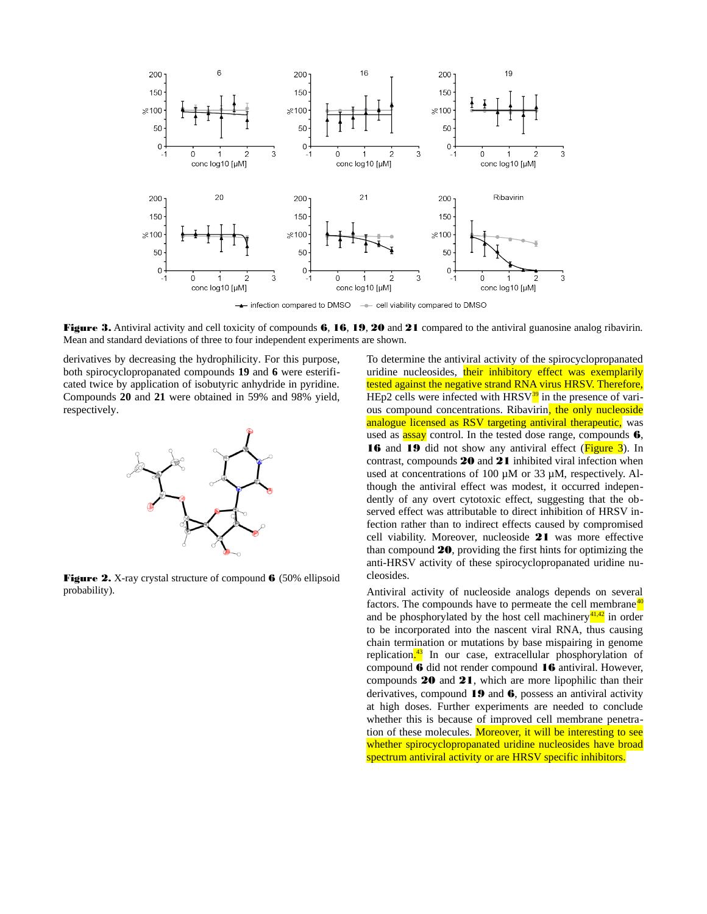

- cell viability compared to DMSO - infection compared to DMSO

Figure 3. Antiviral activity and cell toxicity of compounds 6, 16, 19, 20 and 21 compared to the antiviral guanosine analog ribavirin. Mean and standard deviations of three to four independent experiments are shown.

derivatives by decreasing the hydrophilicity. For this purpose, both spirocyclopropanated compounds **19** and **6** were esterificated twice by application of isobutyric anhydride in pyridine. Compounds **20** and **21** were obtained in 59% and 98% yield, respectively.



Figure 2. X-ray crystal structure of compound 6 (50% ellipsoid probability).

To determine the antiviral activity of the spirocyclopropanated uridine nucleosides, their inhibitory effect was exemplarily tested against the negative strand RNA virus HRSV. Therefore, HEp2 cells were infected with  $HRSV^3$ <sup>39</sup> in the presence of various compound concentrations. Ribavirin, the only nucleoside analogue licensed as RSV targeting antiviral therapeutic, was used as  $\frac{assay}{\text{control}}$ . In the tested dose range, compounds 6, 16 and 19 did not show any antiviral effect (**Figure 3**). In contrast, compounds 20 and 21 inhibited viral infection when used at concentrations of 100 µM or 33 µM, respectively. Although the antiviral effect was modest, it occurred independently of any overt cytotoxic effect, suggesting that the observed effect was attributable to direct inhibition of HRSV infection rather than to indirect effects caused by compromised cell viability. Moreover, nucleoside 21 was more effective than compound 20, providing the first hints for optimizing the anti-HRSV activity of these spirocyclopropanated uridine nucleosides.

Antiviral activity of nucleoside analogs depends on several factors. The compounds have to permeate the cell membrane<sup>40</sup> and be phosphorylated by the host cell machinery $\frac{41,42}{2}$  in order to be incorporated into the nascent viral RNA, thus causing chain termination or mutations by base mispairing in genome replication.<sup>43</sup> In our case, extracellular phosphorylation of compound 6 did not render compound 16 antiviral. However, compounds 20 and 21, which are more lipophilic than their derivatives, compound 19 and 6, possess an antiviral activity at high doses. Further experiments are needed to conclude whether this is because of improved cell membrane penetration of these molecules. Moreover, it will be interesting to see whether spirocyclopropanated uridine nucleosides have broad spectrum antiviral activity or are HRSV specific inhibitors.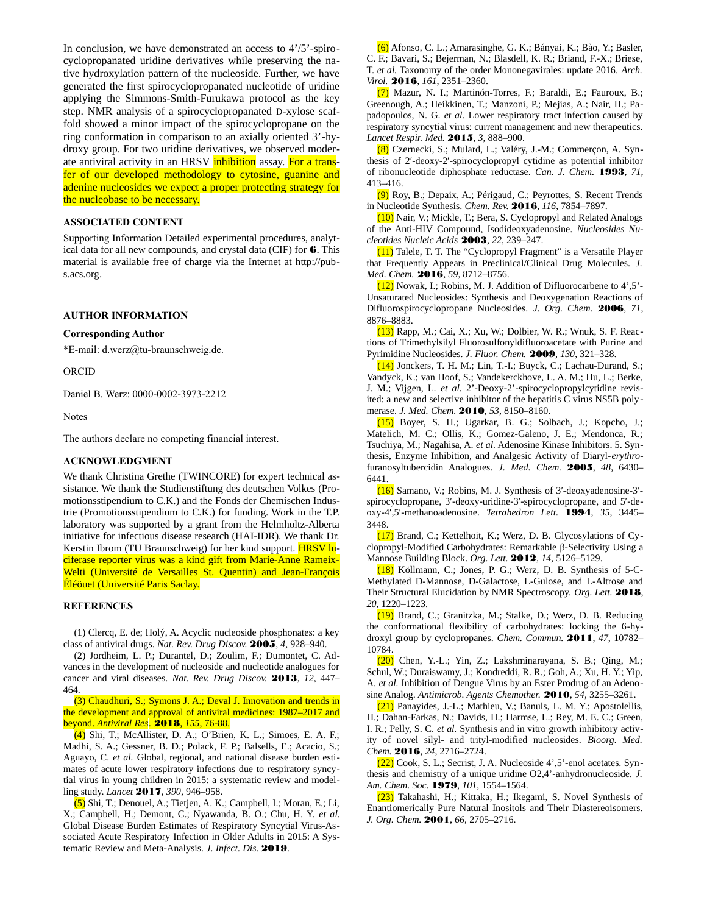In conclusion, we have demonstrated an access to 4'/5'-spirocyclopropanated uridine derivatives while preserving the native hydroxylation pattern of the nucleoside. Further, we have generated the first spirocyclopropanated nucleotide of uridine applying the Simmons-Smith-Furukawa protocol as the key step. NMR analysis of a spirocyclopropanated D-xylose scaffold showed a minor impact of the spirocyclopropane on the ring conformation in comparison to an axially oriented 3'-hydroxy group. For two uridine derivatives, we observed moderate antiviral activity in an HRSV inhibition assay. For a transfer of our developed methodology to cytosine, guanine and adenine nucleosides we expect a proper protecting strategy for the nucleobase to be necessary.

## **ASSOCIATED CONTENT**

Supporting Information Detailed experimental procedures, analytical data for all new compounds, and crystal data (CIF) for  $6$ . This material is available free of charge via the Internet at http://pubs.acs.org.

## **AUTHOR INFORMATION**

#### **Corresponding Author**

\*E-mail: d.werz@tu-braunschweig.de.

ORCID

Daniel B. Werz: 0000-0002-3973-2212

Notes

The authors declare no competing financial interest.

## **ACKNOWLEDGMENT**

We thank Christina Grethe (TWINCORE) for expert technical assistance. We thank the Studienstiftung des deutschen Volkes (Promotionsstipendium to C.K.) and the Fonds der Chemischen Industrie (Promotionsstipendium to C.K.) for funding. Work in the T.P. laboratory was supported by a grant from the Helmholtz-Alberta initiative for infectious disease research (HAI-IDR). We thank Dr. Kerstin Ibrom (TU Braunschweig) for her kind support. **HRSV lu**ciferase reporter virus was a kind gift from Marie-Anne Rameix-Welti (Université de Versailles St. Quentin) and Jean-François Éléöuet (Université Paris Saclay.

## **REFERENCES**

(1) Clercq, E. de; Holý, A. Acyclic nucleoside phosphonates: a key class of antiviral drugs. *Nat. Rev. Drug Discov.* 2005, *4*, 928–940.

(2) Jordheim, L. P.; Durantel, D.; Zoulim, F.; Dumontet, C. Advances in the development of nucleoside and nucleotide analogues for cancer and viral diseases. *Nat. Rev. Drug Discov.* 2013, *12*, 447– 464.

(3) [Chaudhuri](https://www.sciencedirect.com/science/article/pii/S0166354218301803?via%3Dihub#!), S.; [Symons](https://www.sciencedirect.com/science/article/pii/S0166354218301803?via%3Dihub#!) J. A.; [Deval](https://www.sciencedirect.com/science/article/pii/S0166354218301803?via%3Dihub#!) J. Innovation and trends in the development and approval of antiviral medicines: 1987–2017 and beyond. *Antiviral Res*. 2018*, 155*, 76-88.

(4) Shi, T.; McAllister, D. A.; O'Brien, K. L.; Simoes, E. A. F.; Madhi, S. A.; Gessner, B. D.; Polack, F. P.; Balsells, E.; Acacio, S.; Aguayo, C. *et al.* Global, regional, and national disease burden estimates of acute lower respiratory infections due to respiratory syncytial virus in young children in 2015: a systematic review and modelling study. *Lancet* 2017, *390*, 946–958.

(5) Shi, T.; Denouel, A.; Tietjen, A. K.; Campbell, I.; Moran, E.; Li, X.; Campbell, H.; Demont, C.; Nyawanda, B. O.; Chu, H. Y. *et al.* Global Disease Burden Estimates of Respiratory Syncytial Virus-Associated Acute Respiratory Infection in Older Adults in 2015: A Systematic Review and Meta-Analysis. *J. Infect. Dis.* 2019.

(6) Afonso, C. L.; Amarasinghe, G. K.; Bányai, K.; Bào, Y.; Basler, C. F.; Bavari, S.; Bejerman, N.; Blasdell, K. R.; Briand, F.-X.; Briese, T. *et al.* Taxonomy of the order Mononegavirales: update 2016. *Arch. Virol.* 2016, *161*, 2351–2360.

(7) Mazur, N. I.; Martinón-Torres, F.; Baraldi, E.; Fauroux, B.; Greenough, A.; Heikkinen, T.; Manzoni, P.; Mejias, A.; Nair, H.; Papadopoulos, N. G. *et al.* Lower respiratory tract infection caused by respiratory syncytial virus: current management and new therapeutics. *Lancet Respir. Med.* 2015, *3*, 888–900.

(8) Czernecki, S.; Mulard, L.; Valéry, J.-M.; Commerçon, A. Synthesis of 2′-deoxy-2′-spirocyclopropyl cytidine as potential inhibitor of ribonucleotide diphosphate reductase. *Can. J. Chem.* 1993, *71*, 413–416.

(9) Roy, B.; Depaix, A.; Périgaud, C.; Peyrottes, S. Recent Trends in Nucleotide Synthesis. *Chem. Rev.* 2016, *116*, 7854–7897.

(10) Nair, V.; Mickle, T.; Bera, S. Cyclopropyl and Related Analogs of the Anti-HIV Compound, Isodideoxyadenosine. *Nucleosides Nucleotides Nucleic Acids* 2003, *22*, 239–247.

(11) Talele, T. T. The "Cyclopropyl Fragment" is a Versatile Player that Frequently Appears in Preclinical/Clinical Drug Molecules. *J. Med. Chem.* 2016, *59*, 8712–8756.

(12) Nowak, I.; Robins, M. J. Addition of Difluorocarbene to 4',5'- Unsaturated Nucleosides: Synthesis and Deoxygenation Reactions of Difluorospirocyclopropane Nucleosides. *J. Org. Chem.* 2006*, 71*, 8876–8883.

(13) Rapp, M.; Cai, X.; Xu, W.; Dolbier, W. R.; Wnuk, S. F. Reactions of Trimethylsilyl Fluorosulfonyldifluoroacetate with Purine and Pyrimidine Nucleosides. *J. Fluor. Chem.* 2009, *130*, 321–328.

(14) Jonckers, T. H. M.; Lin, T.-I.; Buyck, C.; Lachau-Durand, S.; Vandyck, K.; van Hoof, S.; Vandekerckhove, L. A. M.; Hu, L.; Berke, J. M.; Vijgen, L. *et al.* 2'-Deoxy-2'-spirocyclopropylcytidine revisited: a new and selective inhibitor of the hepatitis C virus NS5B polymerase. *J. Med. Chem.* 2010, *53*, 8150–8160.

(15) Boyer, S. H.; Ugarkar, B. G.; Solbach, J.; Kopcho, J.; Matelich, M. C.; Ollis, K.; Gomez-Galeno, J. E.; Mendonca, R.; Tsuchiya, M.; Nagahisa, A. *et al.* Adenosine Kinase Inhibitors. 5. Synthesis, Enzyme Inhibition, and Analgesic Activity of Diaryl-*erythro*furanosyltubercidin Analogues. *J. Med. Chem.* 2005, *48*, 6430– 6441.

(16) Samano, V.; Robins, M. J. Synthesis of 3′-deoxyadenosine-3′ spirocyclopropane, 3′-deoxy-uridine-3′-spirocyclopropane, and 5′-deoxy-4′,5′-methanoadenosine. *Tetrahedron Lett.* 1994, *35*, 3445– 3448.

(17) Brand, C.; Kettelhoit, K.; Werz, D. B. Glycosylations of Cyclopropyl-Modified Carbohydrates: Remarkable β-Selectivity Using a Mannose Building Block. *Org. Lett.* 2012, *14*, 5126–5129.

(18) Köllmann, C.; Jones, P. G.; Werz, D. B. Synthesis of 5-C-Methylated D-Mannose, D-Galactose, L-Gulose, and L-Altrose and Their Structural Elucidation by NMR Spectroscopy. *Org. Lett.* 2018, *20*, 1220–1223.

(19) Brand, C.; Granitzka, M.; Stalke, D.; Werz, D. B. Reducing the conformational flexibility of carbohydrates: locking the 6-hydroxyl group by cyclopropanes. *Chem. Commun.* 2011, *47*, 10782– 10784.

(20) Chen, Y.-L.; Yin, Z.; Lakshminarayana, S. B.; Qing, M.; Schul, W.; Duraiswamy, J.; Kondreddi, R. R.; Goh, A.; Xu, H. Y.; Yip, A. *et al.* Inhibition of Dengue Virus by an Ester Prodrug of an Adenosine Analog. *Antimicrob. Agents Chemother.* 2010, *54*, 3255–3261.

(21) Panayides, J.-L.; Mathieu, V.; Banuls, L. M. Y.; Apostolellis, H.; Dahan-Farkas, N.; Davids, H.; Harmse, L.; Rey, M. E. C.; Green, I. R.; Pelly, S. C. *et al.* Synthesis and in vitro growth inhibitory activity of novel silyl- and trityl-modified nucleosides. *Bioorg. Med. Chem.* 2016, *24*, 2716–2724.

(22) Cook, S. L.; Secrist, J. A. Nucleoside 4',5'-enol acetates. Synthesis and chemistry of a unique uridine O2,4'-anhydronucleoside. *J. Am. Chem. Soc.* 1979, *101*, 1554–1564.

(23) Takahashi, H.; Kittaka, H.; Ikegami, S. Novel Synthesis of Enantiomerically Pure Natural Inositols and Their Diastereoisomers. *J. Org. Chem.* 2001, *66*, 2705–2716.